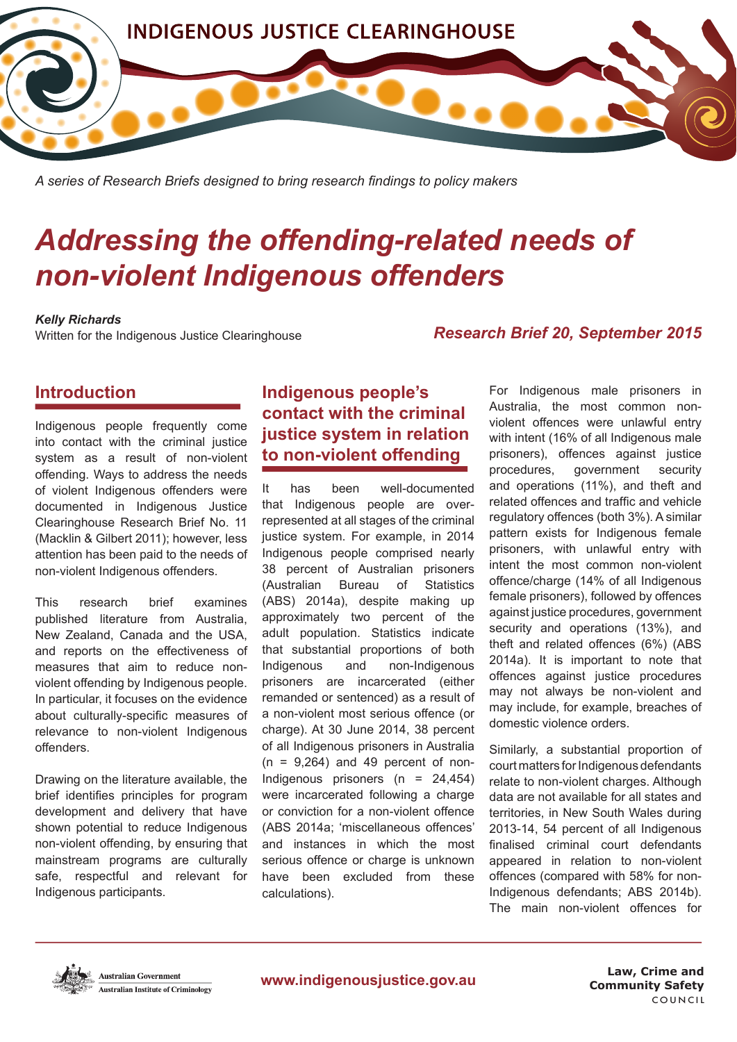

*A series of Research Briefs designed to bring research fndings to policy makers*

# *Addressing the offending-related needs of non-violent Indigenous offenders*

#### *Kelly Richards*

Written for the Indigenous Justice Clearinghouse

#### *Research Brief 20, September 2015*

## **Introduction**

Indigenous people frequently come into contact with the criminal justice system as a result of non-violent offending. Ways to address the needs of violent Indigenous offenders were documented in Indigenous Justice Clearinghouse Research Brief No. 11 (Macklin & Gilbert 2011); however, less attention has been paid to the needs of non-violent Indigenous offenders.

This research brief examines published literature from Australia, New Zealand, Canada and the USA, and reports on the effectiveness of measures that aim to reduce nonviolent offending by Indigenous people. In particular, it focuses on the evidence about culturally-specifc measures of relevance to non-violent Indigenous offenders.

Drawing on the literature available, the brief identifes principles for program development and delivery that have shown potential to reduce Indigenous non-violent offending, by ensuring that mainstream programs are culturally safe, respectful and relevant for Indigenous participants.

# **Indigenous people's contact with the criminal justice system in relation to non-violent offending**

It has been well-documented that Indigenous people are overrepresented at all stages of the criminal justice system. For example, in 2014 Indigenous people comprised nearly 38 percent of Australian prisoners (Australian Bureau of Statistics (ABS) 2014a), despite making up approximately two percent of the adult population. Statistics indicate that substantial proportions of both Indigenous and non-Indigenous prisoners are incarcerated (either remanded or sentenced) as a result of a non-violent most serious offence (or charge). At 30 June 2014, 38 percent of all Indigenous prisoners in Australia  $(n = 9,264)$  and 49 percent of non-Indigenous prisoners  $(n = 24,454)$ were incarcerated following a charge or conviction for a non-violent offence (ABS 2014a; 'miscellaneous offences' and instances in which the most serious offence or charge is unknown have been excluded from these calculations).

For Indigenous male prisoners in Australia, the most common nonviolent offences were unlawful entry with intent (16% of all Indigenous male prisoners), offences against justice procedures, government security and operations (11%), and theft and related offences and traffic and vehicle regulatory offences (both 3%). A similar pattern exists for Indigenous female prisoners, with unlawful entry with intent the most common non-violent offence/charge (14% of all Indigenous female prisoners), followed by offences against justice procedures, government security and operations (13%), and theft and related offences (6%) (ABS 2014a). It is important to note that offences against justice procedures may not always be non-violent and may include, for example, breaches of domestic violence orders.

Similarly, a substantial proportion of court matters for Indigenous defendants relate to non-violent charges. Although data are not available for all states and territories, in New South Wales during 2013-14, 54 percent of all Indigenous fnalised criminal court defendants appeared in relation to non-violent offences (compared with 58% for non-Indigenous defendants; ABS 2014b). The main non-violent offences for



**Community Safety Law, Crime and**  COUNCIL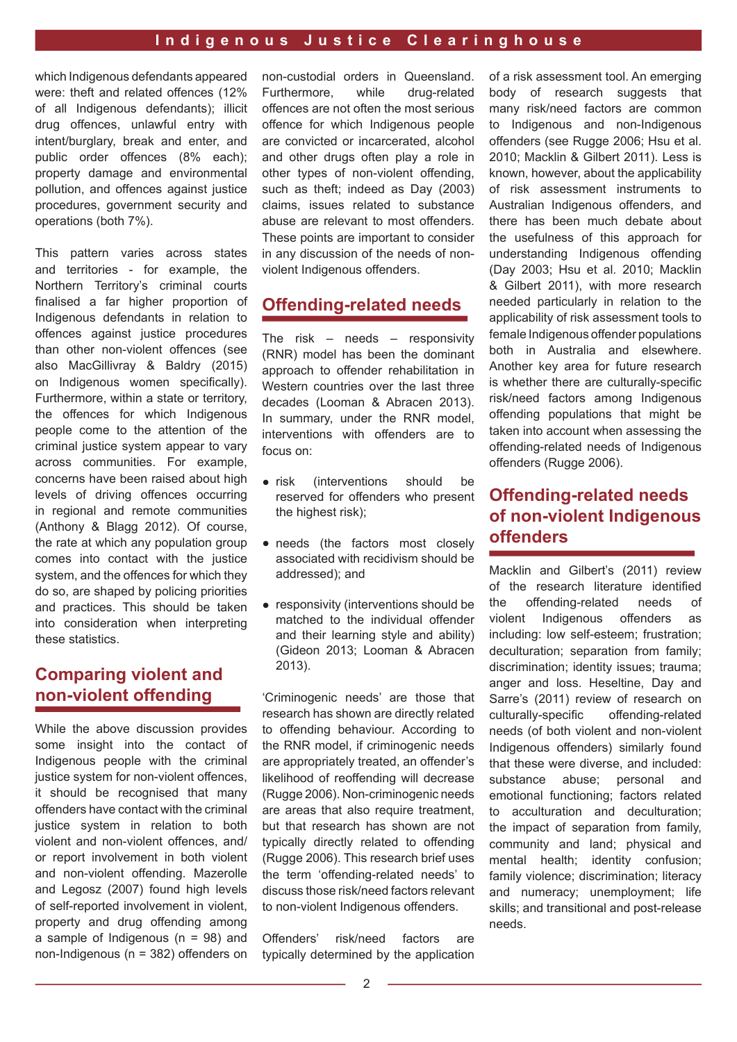which Indigenous defendants appeared were: theft and related offences (12% of all Indigenous defendants); illicit drug offences, unlawful entry with intent/burglary, break and enter, and public order offences (8% each); property damage and environmental pollution, and offences against justice procedures, government security and operations (both 7%).

This pattern varies across states and territories - for example, the Northern Territory's criminal courts fnalised a far higher proportion of Indigenous defendants in relation to offences against justice procedures than other non-violent offences (see also MacGillivray & Baldry (2015) on Indigenous women specifically). Furthermore, within a state or territory, the offences for which Indigenous people come to the attention of the criminal justice system appear to vary across communities. For example, concerns have been raised about high levels of driving offences occurring in regional and remote communities (Anthony & Blagg 2012). Of course, the rate at which any population group comes into contact with the justice system, and the offences for which they do so, are shaped by policing priorities and practices. This should be taken into consideration when interpreting these statistics.

# **Comparing violent and non-violent offending**

While the above discussion provides some insight into the contact of Indigenous people with the criminal justice system for non-violent offences, it should be recognised that many offenders have contact with the criminal justice system in relation to both violent and non-violent offences, and/ or report involvement in both violent and non-violent offending. Mazerolle and Legosz (2007) found high levels of self-reported involvement in violent, property and drug offending among a sample of Indigenous  $(n = 98)$  and non-Indigenous (n = 382) offenders on non-custodial orders in Queensland. Furthermore, while drug-related offences are not often the most serious offence for which Indigenous people are convicted or incarcerated, alcohol and other drugs often play a role in other types of non-violent offending, such as theft; indeed as Day (2003) claims, issues related to substance abuse are relevant to most offenders. These points are important to consider in any discussion of the needs of nonviolent Indigenous offenders.

## **Offending-related needs**

The risk – needs – responsivity (RNR) model has been the dominant approach to offender rehabilitation in Western countries over the last three decades (Looman & Abracen 2013). In summary, under the RNR model, interventions with offenders are to focus on:

- risk (interventions should be reserved for offenders who present the highest risk);
- needs (the factors most closely associated with recidivism should be addressed); and
- responsivity (interventions should be matched to the individual offender and their learning style and ability) (Gideon 2013; Looman & Abracen 2013).

'Criminogenic needs' are those that research has shown are directly related to offending behaviour. According to the RNR model, if criminogenic needs are appropriately treated, an offender's likelihood of reoffending will decrease (Rugge 2006). Non-criminogenic needs are areas that also require treatment, but that research has shown are not typically directly related to offending (Rugge 2006). This research brief uses the term 'offending-related needs' to discuss those risk/need factors relevant to non-violent Indigenous offenders.

Offenders' risk/need factors are typically determined by the application of a risk assessment tool. An emerging body of research suggests that many risk/need factors are common to Indigenous and non-Indigenous offenders (see Rugge 2006; Hsu et al. 2010; Macklin & Gilbert 2011). Less is known, however, about the applicability of risk assessment instruments to Australian Indigenous offenders, and there has been much debate about the usefulness of this approach for understanding Indigenous offending (Day 2003; Hsu et al. 2010; Macklin & Gilbert 2011), with more research needed particularly in relation to the applicability of risk assessment tools to female Indigenous offender populations both in Australia and elsewhere. Another key area for future research is whether there are culturally-specifc risk/need factors among Indigenous offending populations that might be taken into account when assessing the offending-related needs of Indigenous offenders (Rugge 2006).

## **Offending-related needs of non-violent Indigenous offenders**

Macklin and Gilbert's (2011) review of the research literature identifed the offending-related needs of violent Indigenous offenders as including: low self-esteem; frustration; deculturation; separation from family; discrimination; identity issues; trauma; anger and loss. Heseltine, Day and Sarre's (2011) review of research on culturally-specifc offending-related needs (of both violent and non-violent Indigenous offenders) similarly found that these were diverse, and included: substance abuse; personal and emotional functioning; factors related to acculturation and deculturation; the impact of separation from family, community and land; physical and mental health; identity confusion; family violence; discrimination; literacy and numeracy; unemployment; life skills; and transitional and post-release needs.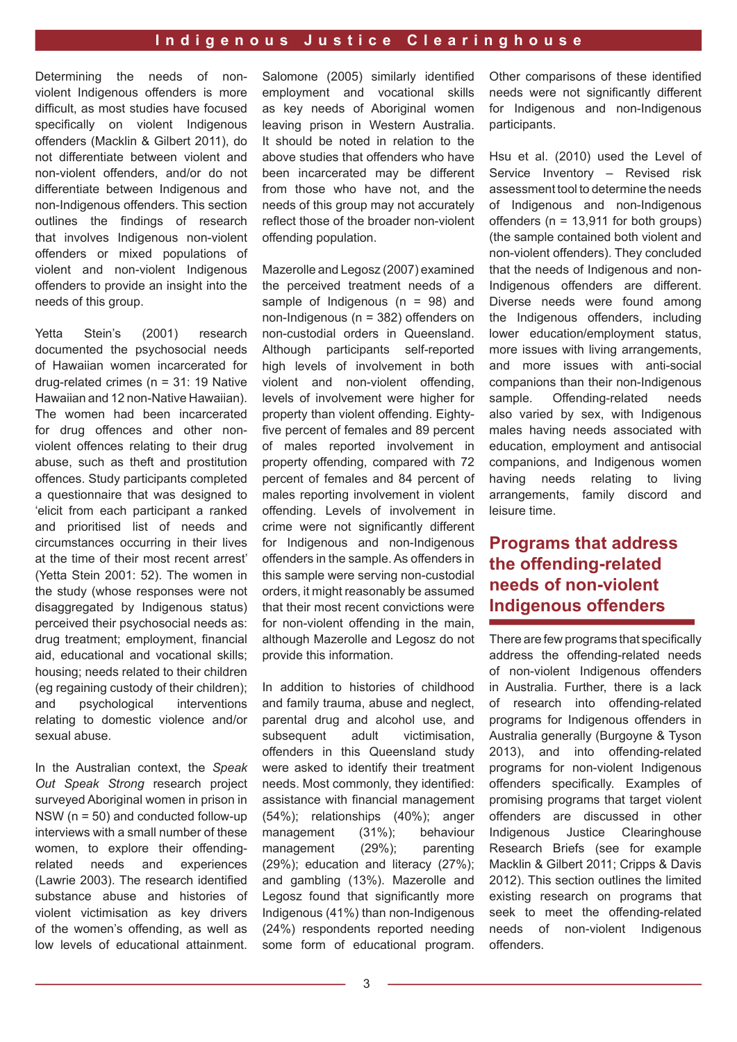Determining the needs of nonviolent Indigenous offenders is more difficult, as most studies have focused specifically on violent Indigenous offenders (Macklin & Gilbert 2011), do not differentiate between violent and non-violent offenders, and/or do not differentiate between Indigenous and non-Indigenous offenders. This section outlines the findings of research that involves Indigenous non-violent offenders or mixed populations of violent and non-violent Indigenous offenders to provide an insight into the needs of this group.

Yetta Stein's (2001) research documented the psychosocial needs of Hawaiian women incarcerated for drug-related crimes (n = 31: 19 Native Hawaiian and 12 non-Native Hawaiian). The women had been incarcerated for drug offences and other nonviolent offences relating to their drug abuse, such as theft and prostitution offences. Study participants completed a questionnaire that was designed to 'elicit from each participant a ranked and prioritised list of needs and circumstances occurring in their lives at the time of their most recent arrest' (Yetta Stein 2001: 52). The women in the study (whose responses were not disaggregated by Indigenous status) perceived their psychosocial needs as: drug treatment; employment, financial aid, educational and vocational skills; housing; needs related to their children (eg regaining custody of their children); and psychological interventions relating to domestic violence and/or sexual abuse.

In the Australian context, the *Speak Out Speak Strong* research project surveyed Aboriginal women in prison in NSW (n = 50) and conducted follow-up interviews with a small number of these women, to explore their offendingrelated needs and experiences (Lawrie 2003). The research identified substance abuse and histories of violent victimisation as key drivers of the women's offending, as well as low levels of educational attainment.

Salomone (2005) similarly identified employment and vocational skills as key needs of Aboriginal women leaving prison in Western Australia. It should be noted in relation to the above studies that offenders who have been incarcerated may be different from those who have not, and the needs of this group may not accurately refect those of the broader non-violent offending population.

Mazerolle and Legosz (2007) examined the perceived treatment needs of a sample of Indigenous  $(n = 98)$  and non-Indigenous (n = 382) offenders on non-custodial orders in Queensland. Although participants self-reported high levels of involvement in both violent and non-violent offending, levels of involvement were higher for property than violent offending. Eightyfive percent of females and 89 percent of males reported involvement in property offending, compared with 72 percent of females and 84 percent of males reporting involvement in violent offending. Levels of involvement in crime were not significantly different for Indigenous and non-Indigenous offenders in the sample. As offenders in this sample were serving non-custodial orders, it might reasonably be assumed that their most recent convictions were for non-violent offending in the main. although Mazerolle and Legosz do not provide this information.

In addition to histories of childhood and family trauma, abuse and neglect, parental drug and alcohol use, and subsequent adult victimisation. offenders in this Queensland study were asked to identify their treatment needs. Most commonly, they identifed assistance with fnancial management (54%); relationships (40%); anger management (31%); behaviour management (29%); parenting (29%); education and literacy (27%); and gambling (13%). Mazerolle and Legosz found that significantly more Indigenous (41%) than non-Indigenous (24%) respondents reported needing some form of educational program.

Other comparisons of these identified needs were not significantly different for Indigenous and non-Indigenous participants.

Hsu et al. (2010) used the Level of Service Inventory – Revised risk assessment tool to determine the needs of Indigenous and non-Indigenous offenders (n = 13,911 for both groups) (the sample contained both violent and non-violent offenders). They concluded that the needs of Indigenous and non-Indigenous offenders are different. Diverse needs were found among the Indigenous offenders, including lower education/employment status, more issues with living arrangements, and more issues with anti-social companions than their non-Indigenous sample. Offending-related needs also varied by sex, with Indigenous males having needs associated with education, employment and antisocial companions, and Indigenous women having needs relating to living arrangements, family discord and leisure time.

## **Programs that address the offending-related needs of non-violent Indigenous offenders**

There are few programs that specifcally address the offending-related needs of non-violent Indigenous offenders in Australia. Further, there is a lack of research into offending-related programs for Indigenous offenders in Australia generally (Burgoyne & Tyson 2013), and into offending-related programs for non-violent Indigenous offenders specifically. Examples of promising programs that target violent offenders are discussed in other Indigenous Justice Clearinghouse Research Briefs (see for example Macklin & Gilbert 2011; Cripps & Davis 2012). This section outlines the limited existing research on programs that seek to meet the offending-related needs of non-violent Indigenous offenders.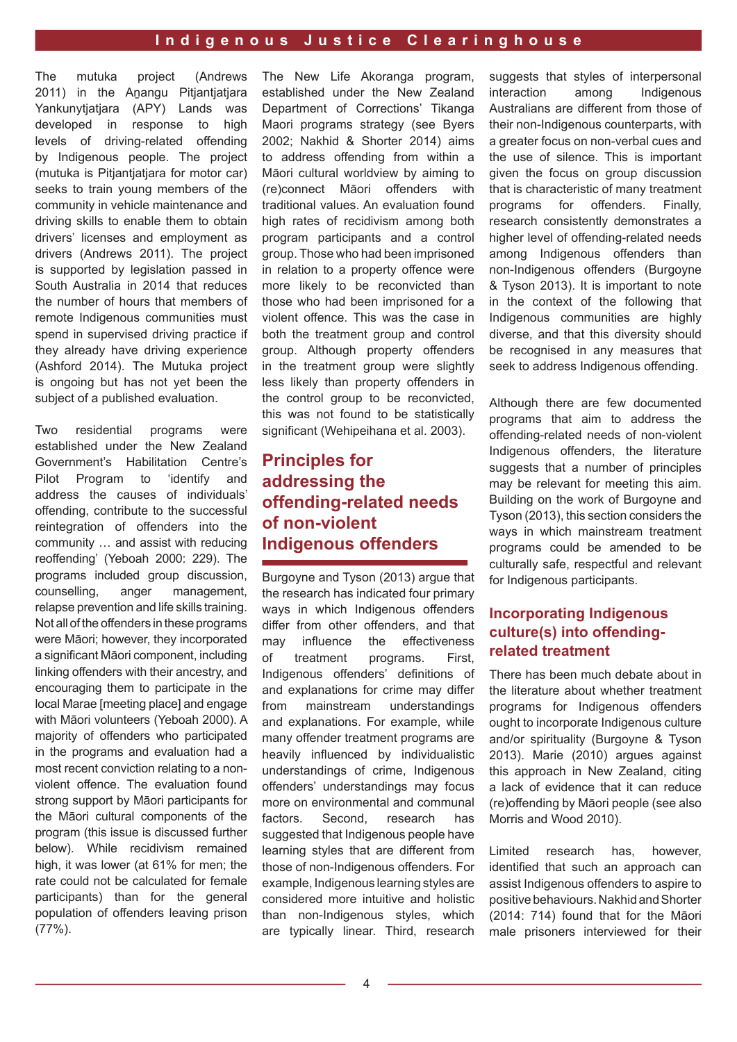The mutuka project (Andrews 2011) in the Anangu Pitjantjatjara Yankunytiatiara (APY) Lands was developed in response to high levels of driving-related offending by Indigenous people. The project (mutuka is Pitiantiatiara for motor car) seeks to train young members of the community in vehicle maintenance and driving skills to enable them to obtain drivers' licenses and employment as drivers (Andrews 2011). The project is supported by legislation passed in South Australia in 2014 that reduces the number of hours that members of remote Indigenous communities must spend in supervised driving practice if they already have driving experience (Ashford 2014). The Mutuka project is ongoing but has not yet been the subject of a published evaluation.

Two residential programs were established under the New Zealand Government's Habilitation Centre's Pilot Program to 'identify and address the causes of individuals' offending, contribute to the successful reintegration of offenders into the community … and assist with reducing reoffending' (Yeboah 2000: 229). The programs included group discussion, counselling, anger management, relapse prevention and life skills training. Not all of the offenders in these programs were Māori; however, they incorporated a significant Māori component, including linking offenders with their ancestry, and encouraging them to participate in the local Marae [meeting place] and engage with Māori volunteers (Yeboah 2000). A majority of offenders who participated in the programs and evaluation had a most recent conviction relating to a nonviolent offence. The evaluation found strong support by Māori participants for the Māori cultural components of the program (this issue is discussed further below). While recidivism remained high, it was lower (at 61% for men; the rate could not be calculated for female participants) than for the general population of offenders leaving prison (77%).

The New Life Akoranga program. established under the New Zealand Department of Corrections' Tikanga Maori programs strategy (see Byers 2002; Nakhid & Shorter 2014) aims to address offending from within a Māori cultural worldview by aiming to (re)connect MƗori offenders with traditional values. An evaluation found high rates of recidivism among both program participants and a control group. Those who had been imprisoned in relation to a property offence were more likely to be reconvicted than those who had been imprisoned for a violent offence. This was the case in both the treatment group and control group. Although property offenders in the treatment group were slightly less likely than property offenders in the control group to be reconvicted, this was not found to be statistically significant (Wehipeihana et al. 2003).

# **Principles for addressing the offending-related needs of non-violent Indigenous offenders**

Burgoyne and Tyson (2013) argue that the research has indicated four primary ways in which Indigenous offenders differ from other offenders, and that may infuence the effectiveness of treatment programs. First, Indigenous offenders' defnitions of and explanations for crime may differ from mainstream understandings and explanations. For example, while many offender treatment programs are heavily infuenced by individualistic understandings of crime, Indigenous offenders' understandings may focus more on environmental and communal factors. Second, research has suggested that Indigenous people have learning styles that are different from those of non-Indigenous offenders. For example, Indigenous learning styles are considered more intuitive and holistic than non-Indigenous styles, which are typically linear. Third, research

suggests that styles of interpersonal interaction among Indigenous Australians are different from those of their non-Indigenous counterparts, with a greater focus on non-verbal cues and the use of silence. This is important given the focus on group discussion that is characteristic of many treatment programs for offenders. Finally, research consistently demonstrates a higher level of offending-related needs among Indigenous offenders than non-Indigenous offenders (Burgoyne & Tyson 2013). It is important to note in the context of the following that Indigenous communities are highly diverse, and that this diversity should be recognised in any measures that seek to address Indigenous offending.

Although there are few documented programs that aim to address the offending-related needs of non-violent Indigenous offenders, the literature suggests that a number of principles may be relevant for meeting this aim. Building on the work of Burgoyne and Tyson (2013), this section considers the ways in which mainstream treatment programs could be amended to be culturally safe, respectful and relevant for Indigenous participants.

## **Incorporating Indigenous culture(s) into offendingrelated treatment**

There has been much debate about in the literature about whether treatment programs for Indigenous offenders ought to incorporate Indigenous culture and/or spirituality (Burgoyne & Tyson 2013). Marie (2010) argues against this approach in New Zealand, citing a lack of evidence that it can reduce (re)offending by MƗori people (see also Morris and Wood 2010).

Limited research has, however, identifed that such an approach can assist Indigenous offenders to aspire to positive behaviours. Nakhid and Shorter  $(2014; 714)$  found that for the Māori male prisoners interviewed for their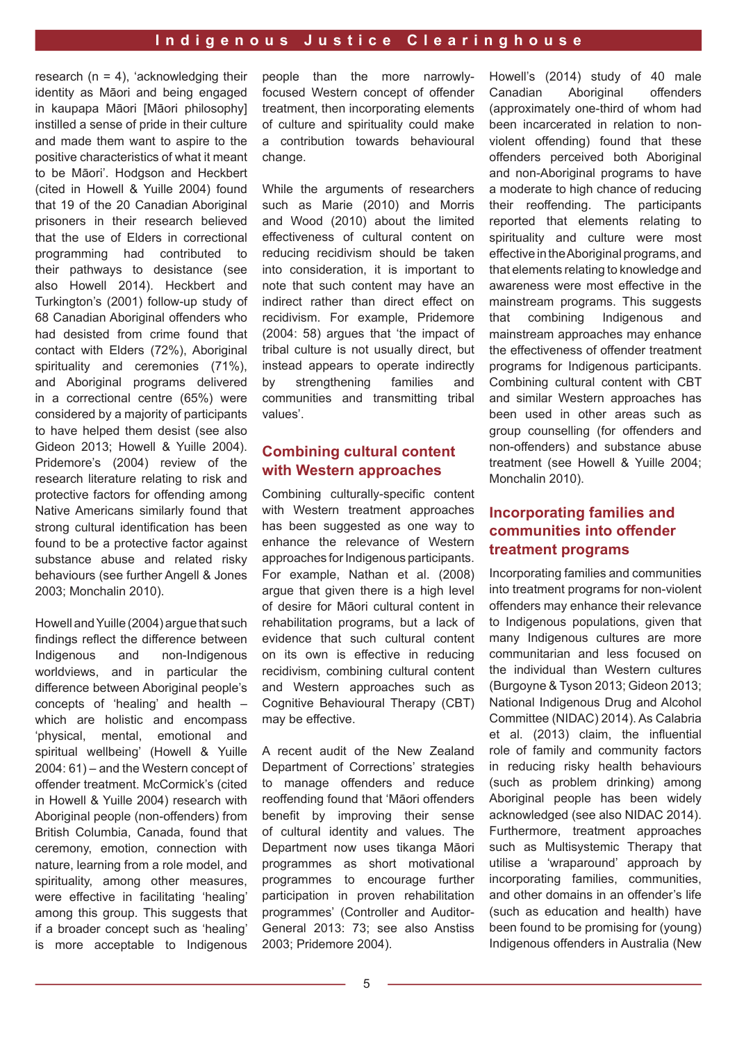research  $(n = 4)$ , 'acknowledging their identity as Māori and being engaged in kaupapa Māori [Māori philosophy] instilled a sense of pride in their culture and made them want to aspire to the positive characteristics of what it meant to be Māori'. Hodgson and Heckbert (cited in Howell & Yuille 2004) found that 19 of the 20 Canadian Aboriginal prisoners in their research believed that the use of Elders in correctional programming had contributed to their pathways to desistance (see also Howell 2014). Heckbert and Turkington's (2001) follow-up study of 68 Canadian Aboriginal offenders who had desisted from crime found that contact with Elders (72%), Aboriginal spirituality and ceremonies (71%), and Aboriginal programs delivered in a correctional centre (65%) were considered by a majority of participants to have helped them desist (see also Gideon 2013; Howell & Yuille 2004). Pridemore's (2004) review of the research literature relating to risk and protective factors for offending among Native Americans similarly found that strong cultural identification has been found to be a protective factor against substance abuse and related risky behaviours (see further Angell & Jones 2003; Monchalin 2010).

Howell and Yuille (2004) argue that such fndings refect the difference between Indigenous and non-Indigenous worldviews, and in particular the difference between Aboriginal people's concepts of 'healing' and health – which are holistic and encompass 'physical, mental, emotional and spiritual wellbeing' (Howell & Yuille 2004: 61) – and the Western concept of offender treatment. McCormick's (cited in Howell & Yuille 2004) research with Aboriginal people (non-offenders) from British Columbia, Canada, found that ceremony, emotion, connection with nature, learning from a role model, and spirituality, among other measures, were effective in facilitating 'healing' among this group. This suggests that if a broader concept such as 'healing' is more acceptable to Indigenous

people than the more narrowlyfocused Western concept of offender treatment, then incorporating elements of culture and spirituality could make a contribution towards behavioural change.

While the arguments of researchers such as Marie (2010) and Morris and Wood (2010) about the limited effectiveness of cultural content on reducing recidivism should be taken into consideration, it is important to note that such content may have an indirect rather than direct effect on recidivism. For example, Pridemore (2004: 58) argues that 'the impact of tribal culture is not usually direct, but instead appears to operate indirectly by strengthening families and communities and transmitting tribal values'.

#### **Combining cultural content with Western approaches**

Combining culturally-specific content with Western treatment approaches has been suggested as one way to enhance the relevance of Western approaches for Indigenous participants. For example, Nathan et al. (2008) argue that given there is a high level of desire for Māori cultural content in rehabilitation programs, but a lack of evidence that such cultural content on its own is effective in reducing recidivism, combining cultural content and Western approaches such as Cognitive Behavioural Therapy (CBT) may be effective.

A recent audit of the New Zealand Department of Corrections' strategies to manage offenders and reduce reoffending found that 'Maori offenders beneft by improving their sense of cultural identity and values. The Department now uses tikanga Māori programmes as short motivational programmes to encourage further participation in proven rehabilitation programmes' (Controller and Auditor-General 2013: 73; see also Anstiss 2003; Pridemore 2004).

Howell's (2014) study of 40 male Canadian Aboriginal offenders (approximately one-third of whom had been incarcerated in relation to nonviolent offending) found that these offenders perceived both Aboriginal and non-Aboriginal programs to have a moderate to high chance of reducing their reoffending. The participants reported that elements relating to spirituality and culture were most effective in the Aboriginal programs, and that elements relating to knowledge and awareness were most effective in the mainstream programs. This suggests that combining Indigenous and mainstream approaches may enhance the effectiveness of offender treatment programs for Indigenous participants. Combining cultural content with CBT and similar Western approaches has been used in other areas such as group counselling (for offenders and non-offenders) and substance abuse treatment (see Howell & Yuille 2004; Monchalin 2010).

## **Incorporating families and communities into offender treatment programs**

Incorporating families and communities into treatment programs for non-violent offenders may enhance their relevance to Indigenous populations, given that many Indigenous cultures are more communitarian and less focused on the individual than Western cultures (Burgoyne & Tyson 2013; Gideon 2013; National Indigenous Drug and Alcohol Committee (NIDAC) 2014). As Calabria et al. (2013) claim, the influential role of family and community factors in reducing risky health behaviours (such as problem drinking) among Aboriginal people has been widely acknowledged (see also NIDAC 2014). Furthermore, treatment approaches such as Multisystemic Therapy that utilise a 'wraparound' approach by incorporating families, communities, and other domains in an offender's life (such as education and health) have been found to be promising for (young) Indigenous offenders in Australia (New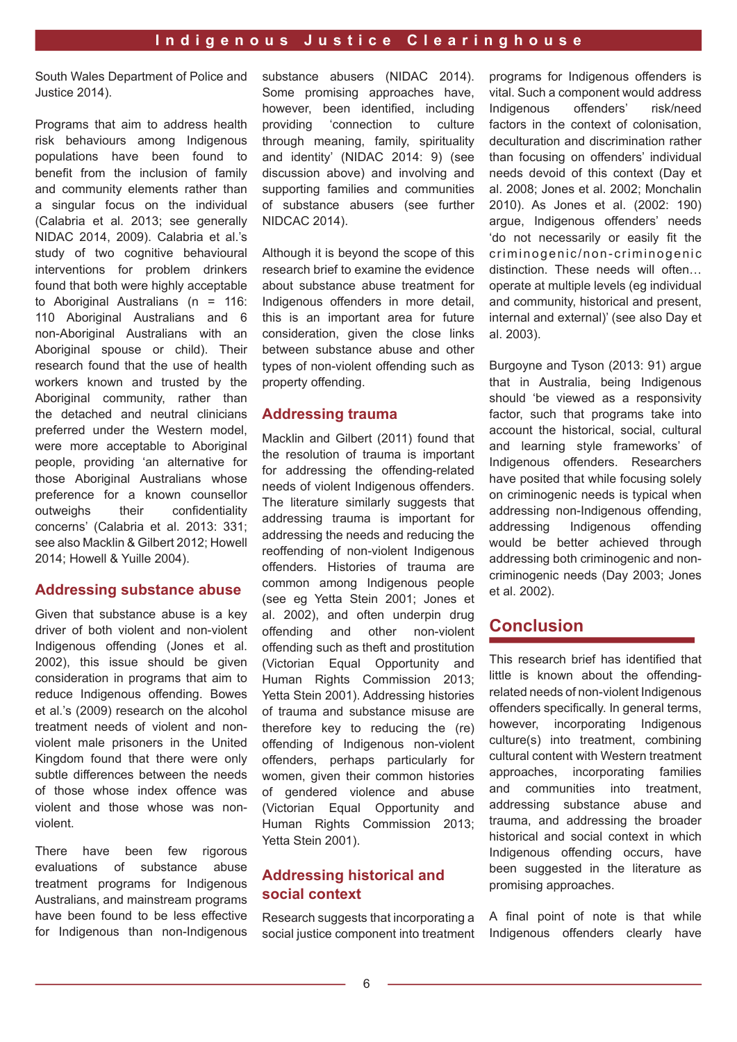South Wales Department of Police and Justice 2014).

Programs that aim to address health risk behaviours among Indigenous populations have been found to beneft from the inclusion of family and community elements rather than a singular focus on the individual (Calabria et al. 2013; see generally NIDAC 2014, 2009). Calabria et al.'s study of two cognitive behavioural interventions for problem drinkers found that both were highly acceptable to Aboriginal Australians (n = 116: 110 Aboriginal Australians and 6 non-Aboriginal Australians with an Aboriginal spouse or child). Their research found that the use of health workers known and trusted by the Aboriginal community, rather than the detached and neutral clinicians preferred under the Western model, were more acceptable to Aboriginal people, providing 'an alternative for those Aboriginal Australians whose preference for a known counsellor outweighs their confidentiality concerns' (Calabria et al. 2013: 331; see also Macklin & Gilbert 2012; Howell 2014; Howell & Yuille 2004).

#### **Addressing substance abuse**

Given that substance abuse is a key driver of both violent and non-violent Indigenous offending (Jones et al. 2002), this issue should be given consideration in programs that aim to reduce Indigenous offending. Bowes et al.'s (2009) research on the alcohol treatment needs of violent and nonviolent male prisoners in the United Kingdom found that there were only subtle differences between the needs of those whose index offence was violent and those whose was nonviolent.

There have been few rigorous evaluations of substance abuse treatment programs for Indigenous Australians, and mainstream programs have been found to be less effective for Indigenous than non-Indigenous substance abusers (NIDAC 2014). Some promising approaches have, however, been identifed, including providing 'connection to culture through meaning, family, spirituality and identity' (NIDAC 2014: 9) (see discussion above) and involving and supporting families and communities of substance abusers (see further NIDCAC 2014).

Although it is beyond the scope of this research brief to examine the evidence about substance abuse treatment for Indigenous offenders in more detail, this is an important area for future consideration, given the close links between substance abuse and other types of non-violent offending such as property offending.

#### **Addressing trauma**

Macklin and Gilbert (2011) found that the resolution of trauma is important for addressing the offending-related needs of violent Indigenous offenders. The literature similarly suggests that addressing trauma is important for addressing the needs and reducing the reoffending of non-violent Indigenous offenders. Histories of trauma are common among Indigenous people (see eg Yetta Stein 2001; Jones et al. 2002), and often underpin drug offending and other non-violent offending such as theft and prostitution (Victorian Equal Opportunity and Human Rights Commission 2013; Yetta Stein 2001). Addressing histories of trauma and substance misuse are therefore key to reducing the (re) offending of Indigenous non-violent offenders, perhaps particularly for women, given their common histories of gendered violence and abuse (Victorian Equal Opportunity and Human Rights Commission 2013; Yetta Stein 2001).

### **Addressing historical and social context**

Research suggests that incorporating a social justice component into treatment programs for Indigenous offenders is vital. Such a component would address Indigenous offenders' risk/need factors in the context of colonisation, deculturation and discrimination rather than focusing on offenders' individual needs devoid of this context (Day et al. 2008; Jones et al. 2002; Monchalin 2010). As Jones et al. (2002: 190) argue, Indigenous offenders' needs 'do not necessarily or easily fit the criminogenic/non-criminogenic distinction. These needs will often… operate at multiple levels (eg individual and community, historical and present, internal and external)' (see also Day et al. 2003).

Burgoyne and Tyson (2013: 91) argue that in Australia, being Indigenous should 'be viewed as a responsivity factor, such that programs take into account the historical, social, cultural and learning style frameworks' of Indigenous offenders. Researchers have posited that while focusing solely on criminogenic needs is typical when addressing non-Indigenous offending, addressing Indigenous offending would be better achieved through addressing both criminogenic and noncriminogenic needs (Day 2003; Jones et al. 2002).

## **Conclusion**

This research brief has identifed that little is known about the offendingrelated needs of non-violent Indigenous offenders specifically. In general terms, however, incorporating Indigenous culture(s) into treatment, combining cultural content with Western treatment approaches, incorporating families and communities into treatment, addressing substance abuse and trauma, and addressing the broader historical and social context in which Indigenous offending occurs, have been suggested in the literature as promising approaches.

A final point of note is that while Indigenous offenders clearly have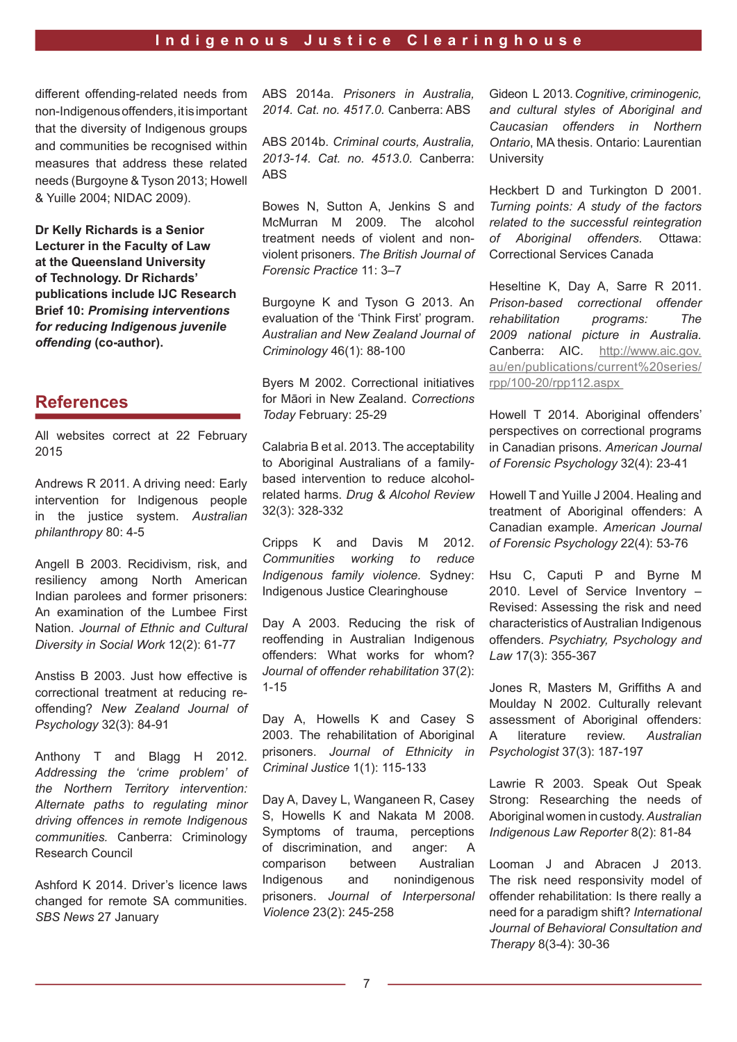different offending-related needs from non-Indigenous offenders, it is important that the diversity of Indigenous groups and communities be recognised within measures that address these related needs (Burgoyne & Tyson 2013; Howell & Yuille 2004; NIDAC 2009).

**Dr Kelly Richards is a Senior Lecturer in the Faculty of Law at the Queensland University of Technology. Dr Richards' publications include IJC Research Brief 10:** *Promising interventions for reducing Indigenous juvenile offending* **(co-author).**

## **References**

All websites correct at 22 February 2015

Andrews R 2011. A driving need: Early intervention for Indigenous people in the justice system. *Australian philanthropy* 80: 4-5

Angell B 2003. Recidivism, risk, and resiliency among North American Indian parolees and former prisoners: An examination of the Lumbee First Nation. *Journal of Ethnic and Cultural Diversity in Social Work* 12(2): 61-77

Anstiss B 2003. Just how effective is correctional treatment at reducing reoffending? *New Zealand Journal of Psychology* 32(3): 84-91

Anthony T and Blagg H 2012. *Addressing the 'crime problem' of the Northern Territory intervention: Alternate paths to regulating minor driving offences in remote Indigenous communities.* Canberra: Criminology Research Council

Ashford K 2014. Driver's licence laws changed for remote SA communities. *SBS News* 27 January

ABS 2014a. *Prisoners in Australia, 2014. Cat. no. 4517.0.* Canberra: ABS

ABS 2014b. *Criminal courts, Australia, 2013-14. Cat. no. 4513.0.* Canberra: ABS

Bowes N, Sutton A, Jenkins S and McMurran M 2009. The alcohol treatment needs of violent and nonviolent prisoners. *The British Journal of Forensic Practice* 11: 3–7

Burgoyne K and Tyson G 2013. An evaluation of the 'Think First' program. *Australian and New Zealand Journal of Criminology* 46(1): 88-100

Byers M 2002. Correctional initiatives for Māori in New Zealand. Corrections *Today* February: 25-29

Calabria B et al. 2013. The acceptability to Aboriginal Australians of a familybased intervention to reduce alcoholrelated harms. *Drug & Alcohol Review*  32(3): 328-332

Cripps K and Davis M 2012. *Communities working to reduce Indigenous family violence.* Sydney: Indigenous Justice Clearinghouse

Day A 2003. Reducing the risk of reoffending in Australian Indigenous offenders: What works for whom? *Journal of offender rehabilitation* 37(2): 1-15

Day A, Howells K and Casey S 2003. The rehabilitation of Aboriginal prisoners. *Journal of Ethnicity in Criminal Justice* 1(1): 115-133

Day A, Davey L, Wanganeen R, Casey S, Howells K and Nakata M 2008. Symptoms of trauma, perceptions of discrimination, and anger: A comparison between Australian Indigenous and nonindigenous prisoners. *Journal of Interpersonal Violence* 23(2): 245-258

Gideon L 2013. *Cognitive, criminogenic, and cultural styles of Aboriginal and Caucasian offenders in Northern Ontario*, MA thesis. Ontario: Laurentian **University** 

Heckbert D and Turkington D 2001. *Turning points: A study of the factors related to the successful reintegration of Aboriginal offenders.* Ottawa: Correctional Services Canada

Heseltine K, Day A, Sarre R 2011. *Prison-based correctional offender rehabilitation programs: The 2009 national picture in Australia.*  Canberra: AIC. http://www.aic.gov. au/en/publications/current%20series/ rpp/100-20/rpp112.aspx

Howell T 2014. Aboriginal offenders' perspectives on correctional programs in Canadian prisons. *American Journal of Forensic Psychology* 32(4): 23-41

Howell T and Yuille J 2004. Healing and treatment of Aboriginal offenders: A Canadian example. *American Journal of Forensic Psychology* 22(4): 53-76

Hsu C, Caputi P and Byrne M 2010. Level of Service Inventory – Revised: Assessing the risk and need characteristics of Australian Indigenous offenders. *Psychiatry, Psychology and Law* 17(3): 355-367

Jones R, Masters M, Griffiths A and Moulday N 2002. Culturally relevant assessment of Aboriginal offenders: A literature review. *Australian Psychologist* 37(3): 187-197

Lawrie R 2003. Speak Out Speak Strong: Researching the needs of Aboriginal women in custody. *Australian Indigenous Law Reporter* 8(2): 81-84

Looman J and Abracen J 2013. The risk need responsivity model of offender rehabilitation: Is there really a need for a paradigm shift? *International Journal of Behavioral Consultation and Therapy* 8(3-4): 30-36